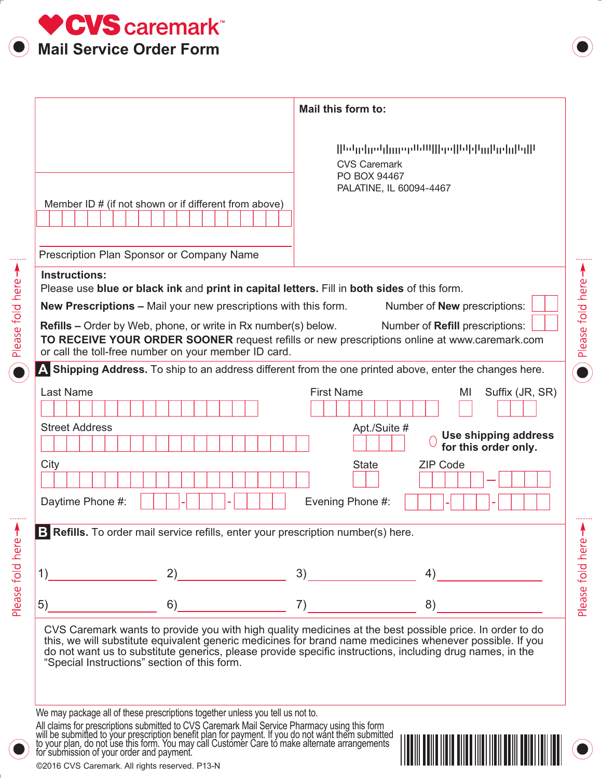

Please fold here

Please fold here >

|                                                                                                                                                                                                         | Mail this form to:                                                                                                                                                                                                   |
|---------------------------------------------------------------------------------------------------------------------------------------------------------------------------------------------------------|----------------------------------------------------------------------------------------------------------------------------------------------------------------------------------------------------------------------|
| Member ID # (if not shown or if different from above)                                                                                                                                                   | ԽերիջեիցթըԱՄ  իթ  Միկո  գրիլել <br><b>CVS Caremark</b><br>PO BOX 94467<br>PALATINE, IL 60094-4467                                                                                                                    |
| Prescription Plan Sponsor or Company Name                                                                                                                                                               |                                                                                                                                                                                                                      |
| <b>Instructions:</b><br>Please use blue or black ink and print in capital letters. Fill in both sides of this form.                                                                                     |                                                                                                                                                                                                                      |
| <b>New Prescriptions - Mail your new prescriptions with this form.</b><br><b>Refills</b> – Order by Web, phone, or write in Rx number(s) below.<br>or call the toll-free number on your member ID card. | Number of <b>New</b> prescriptions:<br>Number of Refill prescriptions:<br>TO RECEIVE YOUR ORDER SOONER request refills or new prescriptions online at www.caremark.com                                               |
|                                                                                                                                                                                                         | A Shipping Address. To ship to an address different from the one printed above, enter the changes here.                                                                                                              |
| <b>Last Name</b>                                                                                                                                                                                        | <b>First Name</b><br>Suffix (JR, SR)<br>MI                                                                                                                                                                           |
| <b>Street Address</b>                                                                                                                                                                                   | Apt./Suite #<br>Use shipping address<br>for this order only.                                                                                                                                                         |
| City<br>Daytime Phone #:                                                                                                                                                                                | <b>State</b><br><b>ZIP Code</b><br>Evening Phone #:                                                                                                                                                                  |
| B Refills. To order mail service refills, enter your prescription number(s) here.                                                                                                                       |                                                                                                                                                                                                                      |
|                                                                                                                                                                                                         |                                                                                                                                                                                                                      |
| 2)<br>1)                                                                                                                                                                                                | 3)<br>4)                                                                                                                                                                                                             |
| 5)<br>6)                                                                                                                                                                                                | 7)<br>8)                                                                                                                                                                                                             |
| do not want us to substitute generics, please provide specific instructions, including drug names, in the<br>"Special Instructions" section of this form.                                               | CVS Caremark wants to provide you with high quality medicines at the best possible price. In order to do<br>this, we will substitute equivalent generic medicines for brand name medicines whenever possible. If you |

We may package all of these prescriptions together unless you tell us not to.

All claims for prescriptions submitted to CVS Caremark Mail Service Pharmacy using this form will be submitted to your prescription benefit plan for payment. If you do not want them submitted<br>to your plan, do not use this form. You may call Customer Care to make alternate arrangements for submission of your order and payment.



©2016 CVS Caremark. All rights reserved. P13-N